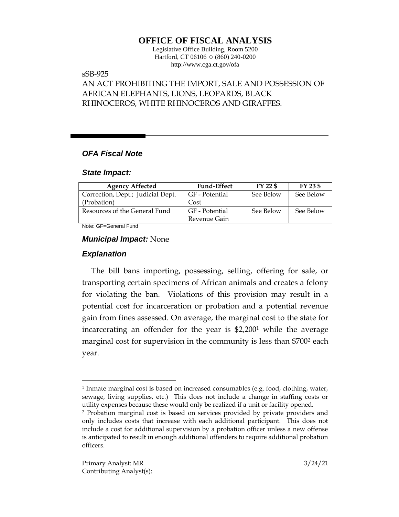# **OFFICE OF FISCAL ANALYSIS**

Legislative Office Building, Room 5200 Hartford, CT 06106 ◇ (860) 240-0200 http://www.cga.ct.gov/ofa

### sSB-925

AN ACT PROHIBITING THE IMPORT, SALE AND POSSESSION OF AFRICAN ELEPHANTS, LIONS, LEOPARDS, BLACK RHINOCEROS, WHITE RHINOCEROS AND GIRAFFES.

### *OFA Fiscal Note*

#### *State Impact:*

| <b>Agency Affected</b>            | <b>Fund-Effect</b> | FY 22 \$  | $FY$ 23 \$ |
|-----------------------------------|--------------------|-----------|------------|
| Correction, Dept.; Judicial Dept. | GF - Potential     | See Below | See Below  |
| (Probation)                       | Cost               |           |            |
| Resources of the General Fund     | GF - Potential     | See Below | See Below  |
|                                   | Revenue Gain       |           |            |

Note: GF=General Fund

#### *Municipal Impact:* None

#### *Explanation*

 $\overline{a}$ 

The bill bans importing, possessing, selling, offering for sale, or transporting certain specimens of African animals and creates a felony for violating the ban. Violations of this provision may result in a potential cost for incarceration or probation and a potential revenue gain from fines assessed. On average, the marginal cost to the state for incarcerating an offender for the year is \$2,200<sup>1</sup> while the average marginal cost for supervision in the community is less than \$700<sup>2</sup> each year.

<sup>1</sup> Inmate marginal cost is based on increased consumables (e.g. food, clothing, water, sewage, living supplies, etc.) This does not include a change in staffing costs or utility expenses because these would only be realized if a unit or facility opened.

<sup>2</sup> Probation marginal cost is based on services provided by private providers and only includes costs that increase with each additional participant. This does not include a cost for additional supervision by a probation officer unless a new offense is anticipated to result in enough additional offenders to require additional probation officers.